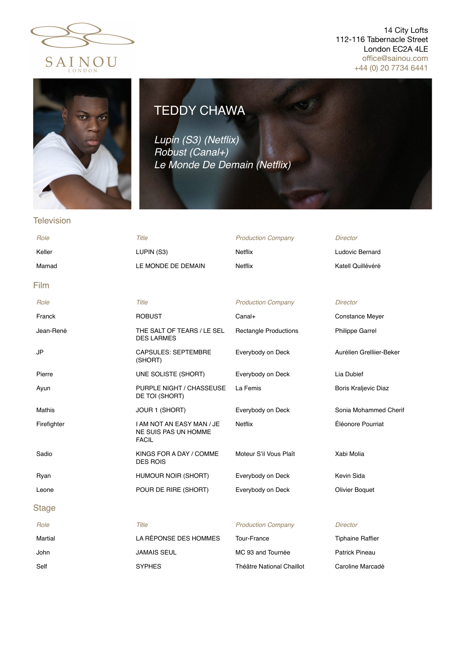

## 14 City Lofts 112-116 Tabernacle Street London EC2A 4LE offi[ce@sainou.com](mailto:office@sainou.com) +44 (0) 20 7734 6441



## TEDDY CHAWA

*Lupin (S3) (Netflix) Robust (Canal+) Le Monde De Demain (Netflix)*

## **Television**

| Role        | Title                                                             | <b>Production Company</b>    | <b>Director</b>          |
|-------------|-------------------------------------------------------------------|------------------------------|--------------------------|
| Keller      | LUPIN (S3)                                                        | Netflix                      | Ludovic Bernard          |
| Mamad       | LE MONDE DE DEMAIN                                                | Netflix                      | Katell Quillévéré        |
| Film        |                                                                   |                              |                          |
| Role        | Title                                                             | <b>Production Company</b>    | <b>Director</b>          |
| Franck      | <b>ROBUST</b>                                                     | Canal+                       | <b>Constance Meyer</b>   |
| Jean-René   | THE SALT OF TEARS / LE SEL<br><b>DES LARMES</b>                   | <b>Rectangle Productions</b> | Philippe Garrel          |
| JP          | <b>CAPSULES: SEPTEMBRE</b><br>(SHORT)                             | Everybody on Deck            | Aurélien Grelliier-Beker |
| Pierre      | UNE SOLISTE (SHORT)                                               | Everybody on Deck            | Lia Dubief               |
| Ayun        | PURPLE NIGHT / CHASSEUSE<br>DE TOI (SHORT)                        | La Femis                     | Boris Kraljevic Diaz     |
| Mathis      | JOUR 1 (SHORT)                                                    | Everybody on Deck            | Sonia Mohammed Cherif    |
| Firefighter | I AM NOT AN EASY MAN / JE<br>NE SUIS PAS UN HOMME<br><b>FACIL</b> | <b>Netflix</b>               | Éléonore Pourriat        |
| Sadio       | KINGS FOR A DAY / COMME<br><b>DES ROIS</b>                        | Moteur S'il Vous Plaît       | Xabi Molia               |
| Ryan        | HUMOUR NOIR (SHORT)                                               | Everybody on Deck            | Kevin Sida               |
| Leone       | POUR DE RIRE (SHORT)                                              | Everybody on Deck            | <b>Olivier Boquet</b>    |
| Stage       |                                                                   |                              |                          |
| Role        | Title                                                             | <b>Production Company</b>    | <b>Director</b>          |
| Martial     | LA RÉPONSE DES HOMMES                                             | Tour-France                  | <b>Tiphaine Raffier</b>  |
| John        | JAMAIS SEUL                                                       | MC 93 and Tournée            | <b>Patrick Pineau</b>    |
| Self        | <b>SYPHES</b>                                                     | Théâtre National Chaillot    | Caroline Marcadé         |